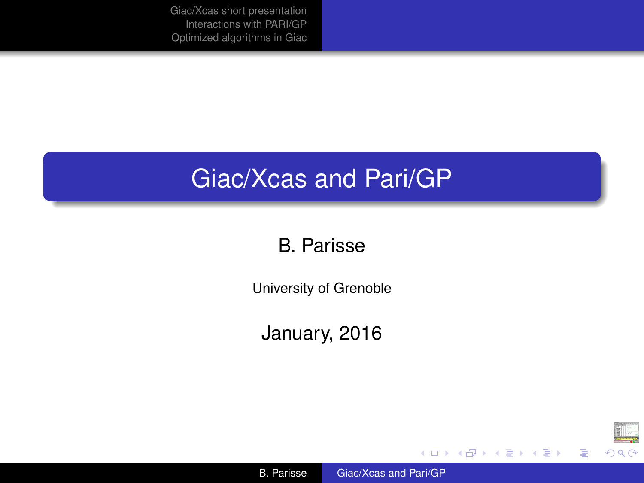#### <span id="page-0-0"></span>Giac/Xcas and Pari/GP

#### B. Parisse

University of Grenoble

January, 2016



重

K ロ ト K 個 ト K 君 ト K 君 ト 。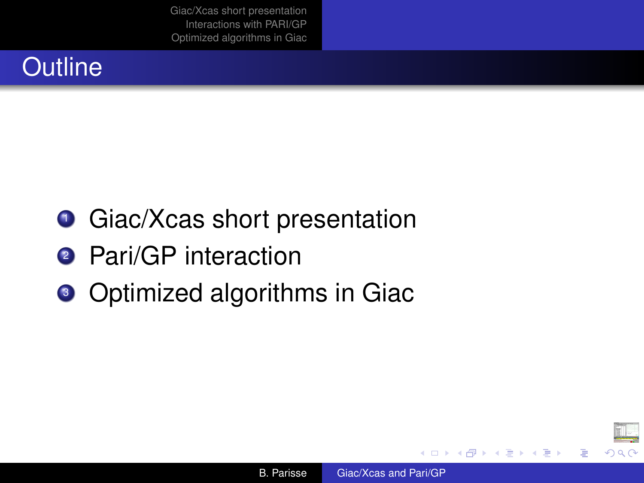## **Outline**

- **Giac/Xcas short presentation**
- <sup>2</sup> Pari/GP interaction
- Optimized algorithms in Giac

B

イロメ イ押 メイヨメ イヨメ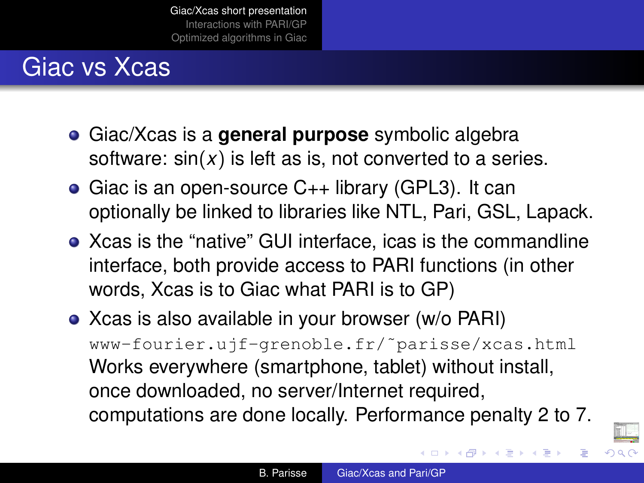#### <span id="page-2-0"></span>Giac vs Xcas

- Giac/Xcas is a **general purpose** symbolic algebra software: sin(*x*) is left as is, not converted to a series.
- Giac is an open-source C++ library (GPL3). It can optionally be linked to libraries like NTL, Pari, GSL, Lapack.
- Xcas is the "native" GUI interface, icas is the commandline interface, both provide access to PARI functions (in other words, Xcas is to Giac what PARI is to GP)
- Xcas is also available in your browser (w/o PARI) www-fourier.ujf-grenoble.fr/˜parisse/xcas.html Works everywhere (smartphone, tablet) without install, once downloaded, no server/Internet required, computations are done locally. Performance penalty 2 to 7.



K ロ ⊁ K 何 ≯ K ヨ ⊁ K ヨ ⊁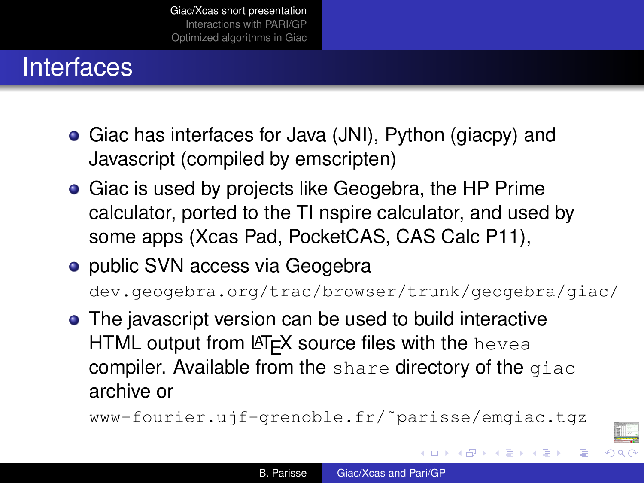## **Interfaces**

- Giac has interfaces for Java (JNI), Python (giacpy) and Javascript (compiled by emscripten)
- **•** Giac is used by projects like Geogebra, the HP Prime calculator, ported to the TI nspire calculator, and used by some apps (Xcas Pad, PocketCAS, CAS Calc P11),
- public SVN access via Geogebra

dev.geogebra.org/trac/browser/trunk/geogebra/giac/

• The javascript version can be used to build interactive HTML output from  $ET$  $F$ X source files with the hevea compiler. Available from the share directory of the giac archive or

```
www-fourier.ujf-grenoble.fr/˜parisse/emgiac.tgz
```


イロメ イ押 メイヨメ イヨメ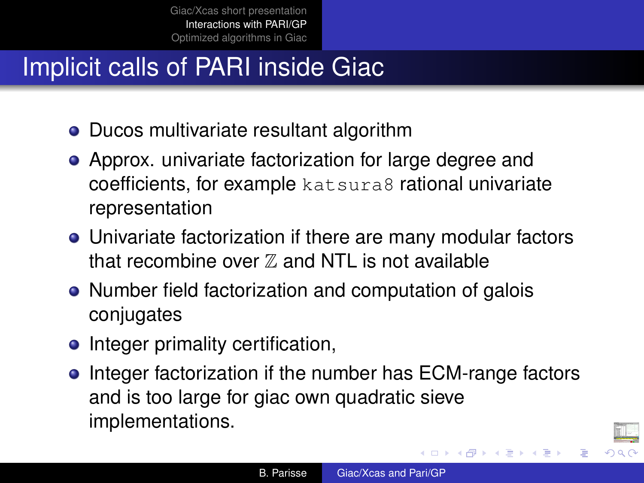## <span id="page-4-0"></span>Implicit calls of PARI inside Giac

- Ducos multivariate resultant algorithm
- Approx. univariate factorization for large degree and coefficients, for example katsura8 rational univariate representation
- Univariate factorization if there are many modular factors that recombine over  $\mathbb Z$  and NTL is not available
- Number field factorization and computation of galois conjugates
- Integer primality certification,
- **•** Integer factorization if the number has ECM-range factors and is too large for giac own quadratic sieve implementations.

K ロ ⊁ K 何 ≯ K ヨ ⊁ K ヨ ⊁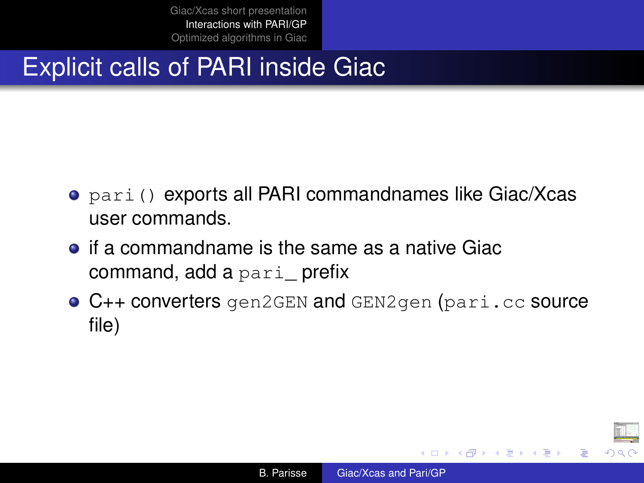## <span id="page-5-0"></span>Explicit calls of PARI inside Giac

- pari() exports all PARI commandnames like Giac/Xcas user commands.
- $\bullet$  if a commandname is the same as a native Giac command, add a pari\_ prefix
- **C++ converters** gen2GEN and GEN2gen (pari.cc source file)

ă

イロメ イ押 メイヨメ イヨメ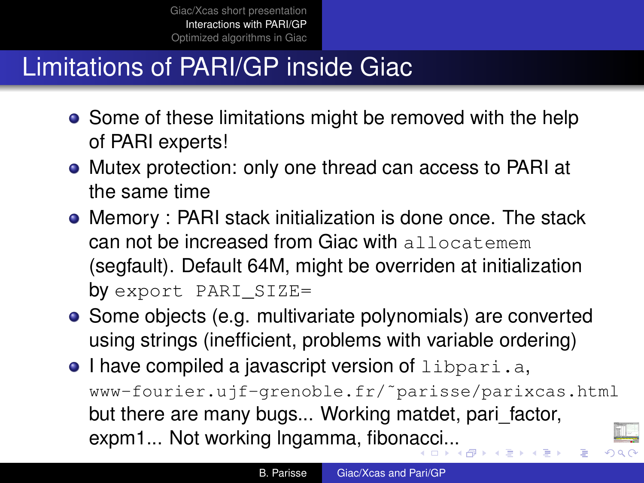## Limitations of PARI/GP inside Giac

- Some of these limitations might be removed with the help of PARI experts!
- Mutex protection: only one thread can access to PARI at the same time
- Memory : PARI stack initialization is done once. The stack can not be increased from Giac with allocatemem (segfault). Default 64M, might be overriden at initialization by export PARI SIZE=
- Some objects (e.g. multivariate polynomials) are converted using strings (inefficient, problems with variable ordering)
- $\bullet$  I have compiled a javascript version of libpari.a, www-fourier.ujf-grenoble.fr/˜parisse/parixcas.html but there are many bugs... Working matdet, pari\_factor, expm1... Not working Ingamma, fibon[ac](#page-5-0)c[i..](#page-7-0)[.](#page-5-0)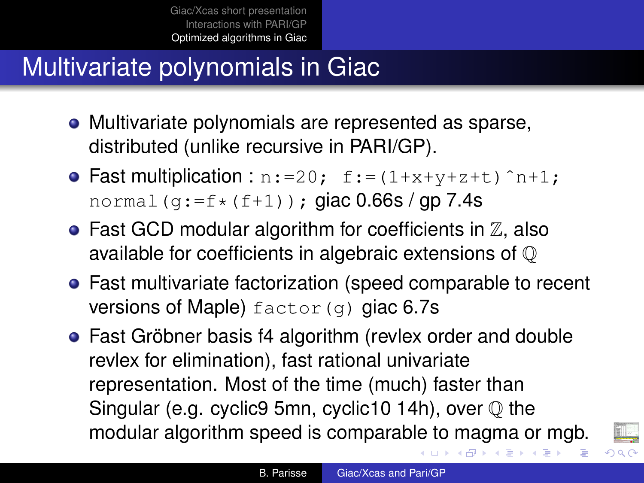# <span id="page-7-0"></span>Multivariate polynomials in Giac

- Multivariate polynomials are represented as sparse, distributed (unlike recursive in PARI/GP).
- Fast multiplication :  $n:=20$ ;  $f:=(1+x+y+z+t)^{-n+1}$ ; normal  $(g:=f*(f+1))$ ; giac 0.66s / gp 7.4s
- $\bullet$  Fast GCD modular algorithm for coefficients in  $\mathbb Z$ , also available for coefficients in algebraic extensions of Q
- Fast multivariate factorization (speed comparable to recent versions of Maple)  $factor(q)$  giac 6.7s
- Fast Gröbner basis f4 algorithm (revlex order and double revlex for elimination), fast rational univariate representation. Most of the time (much) faster than Singular (e.g. cyclic9 5mn, cyclic10 14h), over  $\mathbb O$  the modular algorithm speed is comparable to magma or mgb.



K ロ ⊁ K 伊 ⊁ K ヨ ⊁ K ヨ